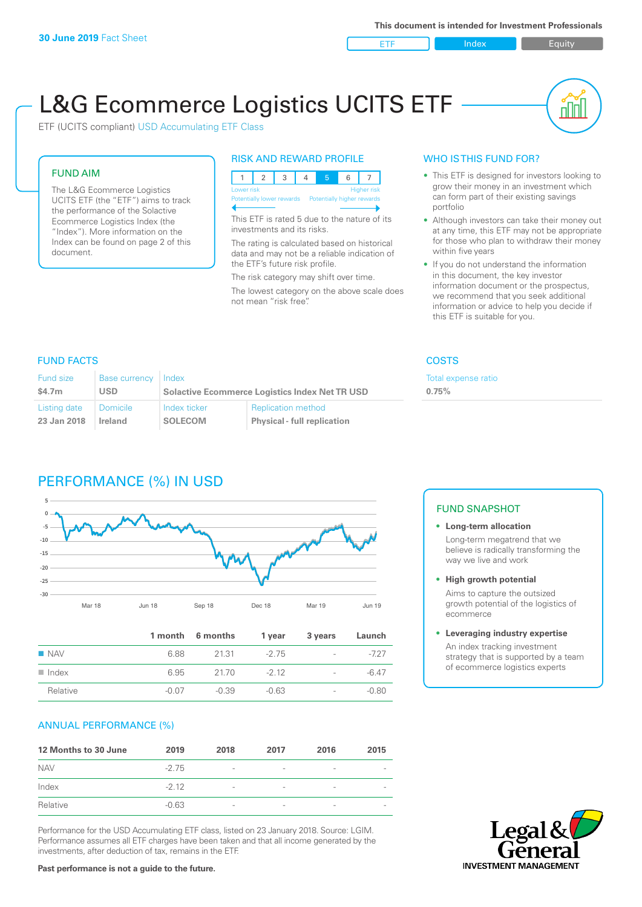ETF Index Builty

nn

# L&G Ecommerce Logistics UCITS ETF

ETF (UCITS compliant) USD Accumulating ETF Class

#### FUND AIM

The L&G Ecommerce Logistics UCITS ETF (the "ETF") aims to track the performance of the Solactive Ecommerce Logistics Index (the "Index"). More information on the Index can be found on page 2 of this document.

#### RISK AND REWARD PROFILE

| Lower risk<br><b>Higher risk</b>                     |  |  |  |  |  |  |  |  |
|------------------------------------------------------|--|--|--|--|--|--|--|--|
| Potentially lower rewards Potentially higher rewards |  |  |  |  |  |  |  |  |
|                                                      |  |  |  |  |  |  |  |  |

This ETF is rated 5 due to the nature of its investments and its risks.

The rating is calculated based on historical data and may not be a reliable indication of the ETF's future risk profile.

The risk category may shift over time. The lowest category on the above scale does not mean "risk free".

#### WHO IS THIS FUND FOR?

- This ETF is designed for investors looking to grow their money in an investment which can form part of their existing savings portfolio
- Although investors can take their money out at any time, this ETF may not be appropriate for those who plan to withdraw their money within five years
- If you do not understand the information in this document, the key investor information document or the prospectus, we recommend that you seek additional information or advice to help you decide if this ETF is suitable for you.

**0.75%**

Total expense ratio

#### FUND FACTS COSTS

| Fund size    | Base currency Index |                |                                                       |  |  |
|--------------|---------------------|----------------|-------------------------------------------------------|--|--|
| \$4.7m       | USD                 |                | <b>Solactive Ecommerce Logistics Index Net TR USD</b> |  |  |
| Listing date | Domicile            | Index ticker   | <b>Replication method</b>                             |  |  |
| 23 Jan 2018  | Ireland             | <b>SOLECOM</b> | <b>Physical - full replication</b>                    |  |  |

# PERFORMANCE (%) IN USD



|                      |         | 1 month 6 months | 1 year  | 3 years                  | Launch  |
|----------------------|---------|------------------|---------|--------------------------|---------|
| $\blacksquare$ NAV   | 6.88    | 21.31            | -2.75   | $\sim$                   | -727    |
| $\blacksquare$ Index | 6.95    | 21.70            | $-212$  | $\overline{\phantom{a}}$ | $-6.47$ |
| Relative             | $-0.07$ | -0.39            | $-0.63$ | $\overline{\phantom{a}}$ | $-0.80$ |

#### ANNUAL PERFORMANCE (%)

| 12 Months to 30 June | 2019    | 2018                     | 2017                     | 2016            | 2015                     |
|----------------------|---------|--------------------------|--------------------------|-----------------|--------------------------|
| <b>NAV</b>           | $-2.75$ | $\overline{\phantom{a}}$ | $\qquad \qquad$          | $\qquad \qquad$ |                          |
| Index                | $-2.12$ | $\overline{\phantom{a}}$ | $\overline{\phantom{0}}$ | $\qquad \qquad$ | $\overline{\phantom{a}}$ |
| Relative             | $-0.63$ | $\overline{\phantom{a}}$ | $\overline{\phantom{a}}$ |                 |                          |

Performance for the USD Accumulating ETF class, listed on 23 January 2018. Source: LGIM. Performance assumes all ETF charges have been taken and that all income generated by the investments, after deduction of tax, remains in the ETF.

## FUND SNAPSHOT

**• Long-term allocation** Long-term megatrend that we believe is radically transforming the way we live and work

**• High growth potential**

Aims to capture the outsized growth potential of the logistics of ecommerce

#### **• Leveraging industry expertise**

An index tracking investment strategy that is supported by a team of ecommerce logistics experts



**Past performance is not a guide to the future.**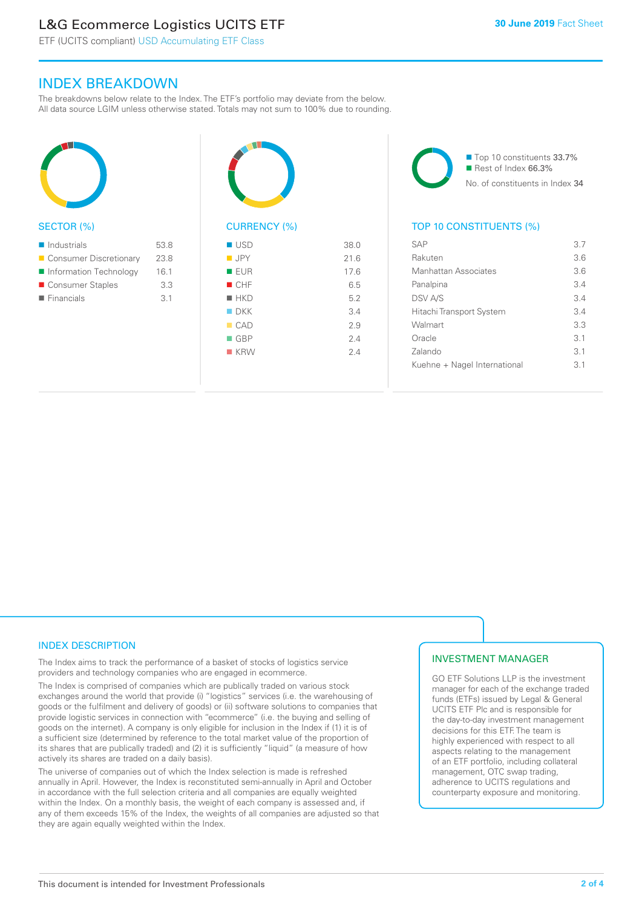# L&G Ecommerce Logistics UCITS ETF

ETF (UCITS compliant) USD Accumulating ETF Class

### INDEX BREAKDOWN

The breakdowns below relate to the Index. The ETF's portfolio may deviate from the below. All data source LGIM unless otherwise stated. Totals may not sum to 100% due to rounding.



#### SECTOR (%)

| $\blacksquare$ Industrials | 53.8            |
|----------------------------|-----------------|
| ■ Consumer Discretionary   | 23.8            |
| Information Technology     | 16.1            |
| ■ Consumer Staples         | 3.3             |
| $\blacksquare$ Financials  | $\overline{3}1$ |
|                            |                 |



# CURRENCY (%)

| $\blacksquare$ USD | 38.0 |
|--------------------|------|
| $\blacksquare$ JPY | 21.6 |
| EUR                | 17.6 |
| CHF                | 6.5  |
| $H$ HKD            | 5.2  |
| $\blacksquare$ DKK | 3.4  |
| CAD                | 2.9  |
| $\blacksquare$ GBP | 2.4  |
| $R$ KRW            | 2.4  |
|                    |      |

■ Top 10 constituents 33.7% Rest of Index 66.3% No. of constituents in Index 34

#### TOP 10 CONSTITUENTS (%)

| SAP                          | 3.7             |
|------------------------------|-----------------|
| Rakuten                      | 3.6             |
| Manhattan Associates         | 3.6             |
| Panalpina                    | 34              |
| <b>DSV A/S</b>               | 34              |
| Hitachi Transport System     | 34              |
| Walmart                      | 3.3             |
| Oracle                       | $\overline{3}1$ |
| Zalando                      | 3.1             |
| Kuehne + Nagel International | $\overline{3}1$ |
|                              |                 |

#### INDEX DESCRIPTION

The Index aims to track the performance of a basket of stocks of logistics service providers and technology companies who are engaged in ecommerce.

The Index is comprised of companies which are publically traded on various stock exchanges around the world that provide (i) "logistics" services (i.e. the warehousing of goods or the fulfilment and delivery of goods) or (ii) software solutions to companies that provide logistic services in connection with "ecommerce" (i.e. the buying and selling of goods on the internet). A company is only eligible for inclusion in the Index if (1) it is of a sufficient size (determined by reference to the total market value of the proportion of its shares that are publically traded) and (2) it is sufficiently "liquid" (a measure of how actively its shares are traded on a daily basis).

The universe of companies out of which the Index selection is made is refreshed annually in April. However, the Index is reconstituted semi-annually in April and October in accordance with the full selection criteria and all companies are equally weighted within the Index. On a monthly basis, the weight of each company is assessed and, if any of them exceeds 15% of the Index, the weights of all companies are adjusted so that they are again equally weighted within the Index.

#### INVESTMENT MANAGER

GO ETF Solutions LLP is the investment manager for each of the exchange traded funds (ETFs) issued by Legal & General UCITS ETF Plc and is responsible for the day-to-day investment management decisions for this ETF. The team is highly experienced with respect to all aspects relating to the management of an ETF portfolio, including collateral management, OTC swap trading, adherence to UCITS regulations and counterparty exposure and monitoring.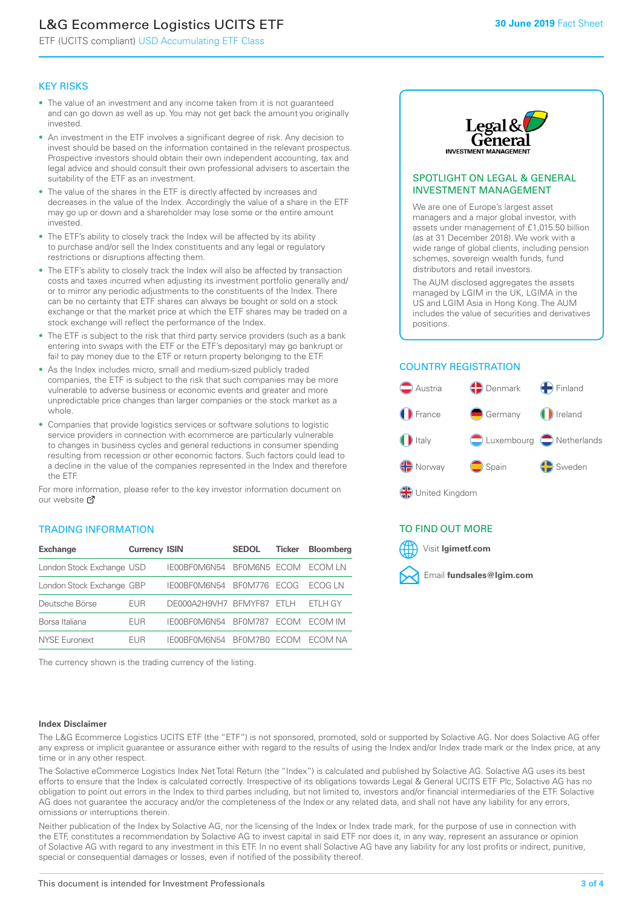# L&G Ecommerce Logistics UCITS ETF

ETF (UCITS compliant) USD Accumulating ETF Class

#### KEY RISKS

- The value of an investment and any income taken from it is not guaranteed and can go down as well as up. You may not get back the amount you originally invested.
- An investment in the ETF involves a significant degree of risk. Any decision to invest should be based on the information contained in the relevant prospectus. Prospective investors should obtain their own independent accounting, tax and legal advice and should consult their own professional advisers to ascertain the suitability of the ETF as an investment.
- The value of the shares in the ETF is directly affected by increases and decreases in the value of the Index. Accordingly the value of a share in the ETF may go up or down and a shareholder may lose some or the entire amount invested.
- The ETF's ability to closely track the Index will be affected by its ability to purchase and/or sell the Index constituents and any legal or regulatory restrictions or disruptions affecting them.
- The ETF's ability to closely track the Index will also be affected by transaction costs and taxes incurred when adjusting its investment portfolio generally and/ or to mirror any periodic adjustments to the constituents of the Index. There can be no certainty that ETF shares can always be bought or sold on a stock exchange or that the market price at which the ETF shares may be traded on a stock exchange will reflect the performance of the Index.
- The ETF is subject to the risk that third party service providers (such as a bank entering into swaps with the ETF or the ETF's depositary) may go bankrupt or fail to pay money due to the ETF or return property belonging to the ETF.
- As the Index includes micro, small and medium-sized publicly traded companies, the ETF is subject to the risk that such companies may be more vulnerable to adverse business or economic events and greater and more unpredictable price changes than larger companies or the stock market as a whole.
- Companies that provide logistics services or software solutions to logistic service providers in connection with ecommerce are particularly vulnerable to changes in business cycles and general reductions in consumer spending resulting from recession or other economic factors. Such factors could lead to a decline in the value of the companies represented in the Index and therefore the ETF.

For more information, please refer to the key investor information document on our website **Z** 

### TRADING INFORMATION

| <b>Exchange</b>           | <b>Currency ISIN</b> |                      | <b>SEDOL</b>   | <b>Ticker</b> | Bloomberg |
|---------------------------|----------------------|----------------------|----------------|---------------|-----------|
| London Stock Exchange USD |                      | IE00BF0M6N54         | BFOM6N5 ECOM   |               | ECOM IN   |
| London Stock Exchange GBP |                      | IE00BF0M6N54         | BF0M776        | <b>FCOG</b>   | FCOG IN   |
| Deutsche Börse            | EUR                  | DE000A2H9VH7 BFMYF87 |                | FTI H         | ETLH GY   |
| Borsa Italiana            | EUR                  | IE00BF0M6N54         | <b>BF0M787</b> | <b>FCOM</b>   | ECOM IM   |
| NYSE Euronext             | <b>FUR</b>           | IF00BF0M6N54         | BF0M7B0        | <b>ECOM</b>   | FCOM NA   |

The currency shown is the trading currency of the listing.



#### SPOTLIGHT ON LEGAL & GENERAL INVESTMENT MANAGEMENT

We are one of Europe's largest asset managers and a major global investor, with assets under management of £1,015.50 billion (as at 31 December 2018). We work with a wide range of global clients, including pension schemes, sovereign wealth funds, fund distributors and retail investors.

The AUM disclosed aggregates the assets managed by LGIM in the UK, LGIMA in the US and LGIM Asia in Hong Kong. The AUM includes the value of securities and derivatives positions.

### COUNTRY REGISTRATION



#### TO FIND OUT MORE



#### **Index Disclaimer**

The L&G Ecommerce Logistics UCITS ETF (the "ETF") is not sponsored, promoted, sold or supported by Solactive AG. Nor does Solactive AG offer any express or implicit guarantee or assurance either with regard to the results of using the Index and/or Index trade mark or the Index price, at any time or in any other respect.

The Solactive eCommerce Logistics Index Net Total Return (the "Index") is calculated and published by Solactive AG. Solactive AG uses its best efforts to ensure that the Index is calculated correctly. Irrespective of its obligations towards Legal & General UCITS ETF Plc, Solactive AG has no obligation to point out errors in the Index to third parties including, but not limited to, investors and/or financial intermediaries of the ETF. Solactive AG does not guarantee the accuracy and/or the completeness of the Index or any related data, and shall not have any liability for any errors, omissions or interruptions therein.

Neither publication of the Index by Solactive AG, nor the licensing of the Index or Index trade mark, for the purpose of use in connection with the ETF, constitutes a recommendation by Solactive AG to invest capital in said ETF nor does it, in any way, represent an assurance or opinion of Solactive AG with regard to any investment in this ETF. In no event shall Solactive AG have any liability for any lost profits or indirect, punitive, special or consequential damages or losses, even if notified of the possibility thereof.